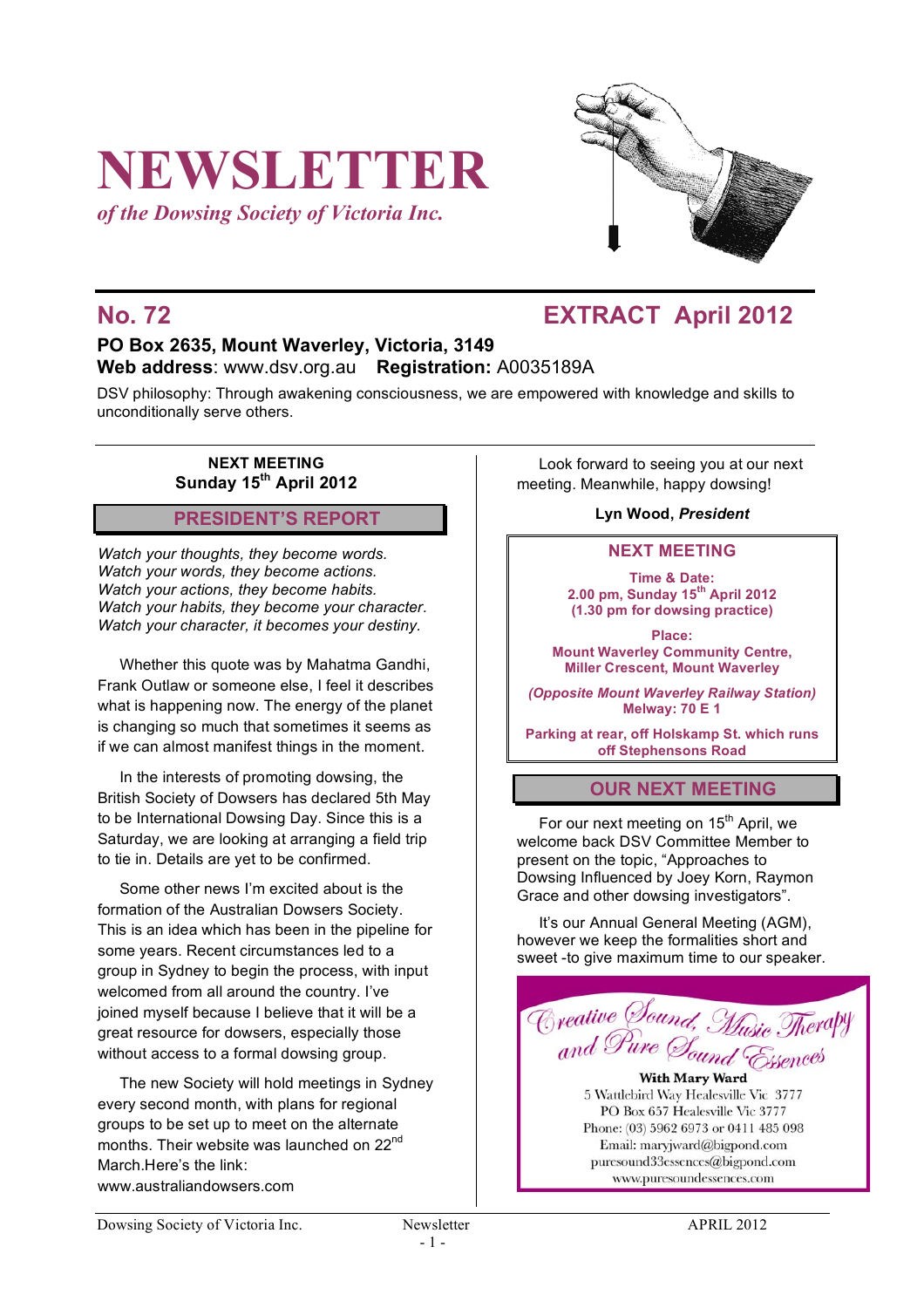# **NEWSLETTER**

*of the Dowsing Society of Victoria Inc.*



## **No. 72 EXTRACT April 2012**

## **PO Box 2635, Mount Waverley, Victoria, 3149 Web address**: www.dsv.org.au **Registration:** A0035189A

DSV philosophy: Through awakening consciousness, we are empowered with knowledge and skills to unconditionally serve others.

#### **NEXT MEETING Sunday 15th April 2012**

## **PRESIDENT'S REPORT**

*Watch your thoughts, they become words. Watch your words, they become actions. Watch your actions, they become habits. Watch your habits, they become your character. Watch your character, it becomes your destiny.* 

Whether this quote was by Mahatma Gandhi, Frank Outlaw or someone else, I feel it describes what is happening now. The energy of the planet is changing so much that sometimes it seems as if we can almost manifest things in the moment.

In the interests of promoting dowsing, the British Society of Dowsers has declared 5th May to be International Dowsing Day. Since this is a Saturday, we are looking at arranging a field trip to tie in. Details are yet to be confirmed.

Some other news I'm excited about is the formation of the Australian Dowsers Society. This is an idea which has been in the pipeline for some years. Recent circumstances led to a group in Sydney to begin the process, with input welcomed from all around the country. I've joined myself because I believe that it will be a great resource for dowsers, especially those without access to a formal dowsing group.

The new Society will hold meetings in Sydney every second month, with plans for regional groups to be set up to meet on the alternate months. Their website was launched on 22<sup>nd</sup> March.Here's the link: www.australiandowsers.com

Look forward to seeing you at our next meeting. Meanwhile, happy dowsing!

**Lyn Wood,** *President*

#### **NEXT MEETING**

**Time & Date: 2.00 pm, Sunday 15th April 2012 (1.30 pm for dowsing practice)**

**Place: Mount Waverley Community Centre, Miller Crescent, Mount Waverley**

*(Opposite Mount Waverley Railway Station)* **Melway: 70 E 1**

**Parking at rear, off Holskamp St. which runs off Stephensons Road**

## **OUR NEXT MEETING**

For our next meeting on  $15<sup>th</sup>$  April, we welcome back DSV Committee Member to present on the topic, "Approaches to Dowsing Influenced by Joey Korn, Raymon Grace and other dowsing investigators".

It's our Annual General Meeting (AGM), however we keep the formalities short and sweet -to give maximum time to our speaker.



**With Mary Ward** 5 Wattlebird Way Healesville Vic 3777 PO Box 657 Healesville Vic 3777 Phone: (03) 5962 6973 or 0411 485 098 Email: maryjward@bigpond.com puresound33essences@bigpond.com www.puresoundessences.com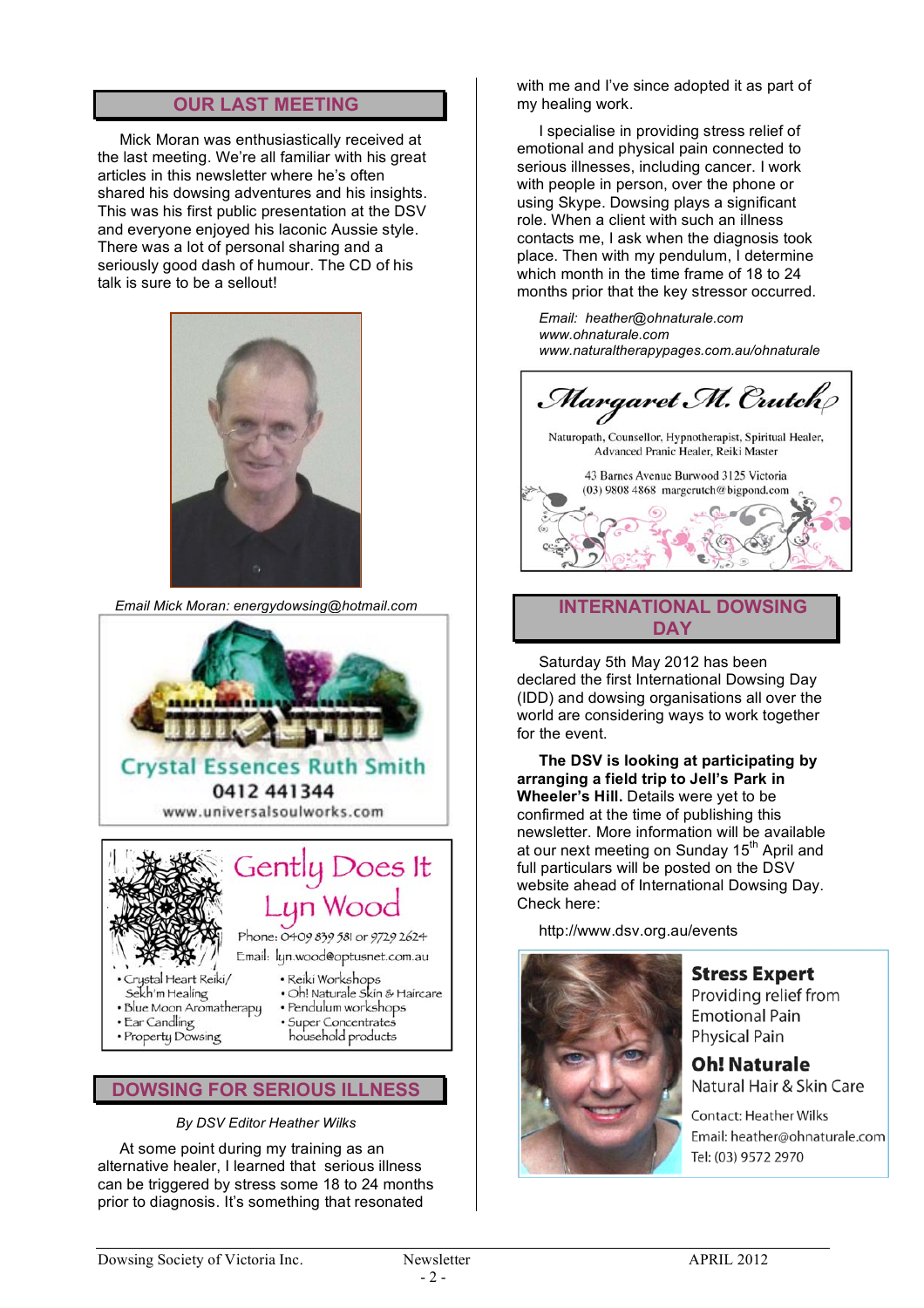## **OUR LAST MEETING**

Mick Moran was enthusiastically received at the last meeting. We're all familiar with his great articles in this newsletter where he's often shared his dowsing adventures and his insights. This was his first public presentation at the DSV and everyone enjoyed his laconic Aussie style. There was a lot of personal sharing and a seriously good dash of humour. The CD of his talk is sure to be a sellout!



*Email Mick Moran: energydowsing@hotmail.com*



- 
- Property Dowsing
- · Super Concentrates<br>household products

#### **DOWSING FOR SERIOUS ILLNESS**

*By DSV Editor Heather Wilks*

At some point during my training as an alternative healer, I learned that serious illness can be triggered by stress some 18 to 24 months prior to diagnosis. It's something that resonated

with me and I've since adopted it as part of my healing work.

I specialise in providing stress relief of emotional and physical pain connected to serious illnesses, including cancer. I work with people in person, over the phone or using Skype. Dowsing plays a significant role. When a client with such an illness contacts me, I ask when the diagnosis took place. Then with my pendulum, I determine which month in the time frame of 18 to 24 months prior that the key stressor occurred.

*Email: heather@ohnaturale.com www.ohnaturale.com www.naturaltherapypages.com.au/ohnaturale*



#### **INTERNATIONAL DOWSING DAY**

Saturday 5th May 2012 has been declared the first International Dowsing Day (IDD) and dowsing organisations all over the world are considering ways to work together for the event.

**The DSV is looking at participating by arranging a field trip to Jell's Park in Wheeler's Hill.** Details were yet to be confirmed at the time of publishing this newsletter. More information will be available at our next meeting on Sunday 15<sup>th</sup> April and full particulars will be posted on the DSV website ahead of International Dowsing Day. Check here:

http://www.dsv.org.au/events



**Stress Expert** Providing relief from

**Emotional Pain Physical Pain** 

**Oh! Naturale** Natural Hair & Skin Care

**Contact: Heather Wilks** Email: heather@ohnaturale.com Tel: (03) 9572 2970